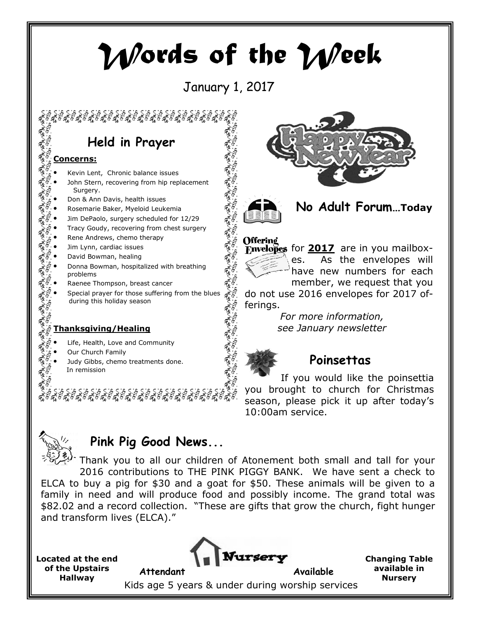# Words of the Week

# January 1, 2017

الشمرا لشمرا لشهر

المعربالجه

# Held in Prayer

#### Concerns:

- Kevin Lent, Chronic balance issues
- John Stern, recovering from hip replacement Surgery.
- Don & Ann Davis, health issues
- Rosemarie Baker, Myeloid Leukemia
- Jim DePaolo, surgery scheduled for 12/29
- Tracy Goudy, recovering from chest surgery
- Rene Andrews, chemo therapy
- Jim Lynn, cardiac issues
- David Bowman, healing
- Donna Bowman, hospitalized with breathing problems
- Raenee Thompson, breast cancer
- Special prayer for those suffering from the blues during this holiday season

#### Thanksgiving/Healing

- Life, Health, Love and Community
- Our Church Family
- Judy Gibbs, chemo treatments done. In remission







#### **Offering**



Envelopes for  $2017$  are in you mailboxes. As the envelopes will have new numbers for each member, we request that you

do not use 2016 envelopes for 2017 offerings.

> For more information, see January newsletter



### Poinsettas

 If you would like the poinsettia you brought to church for Christmas season, please pick it up after today's 10:00am service.



## Pink Pig Good News...

Thank you to all our children of Atonement both small and tall for your 2016 contributions to THE PINK PIGGY BANK. We have sent a check to ELCA to buy a pig for \$30 and a goat for \$50. These animals will be given to a family in need and will produce food and possibly income. The grand total was \$82.02 and a record collection. "These are gifts that grow the church, fight hunger and transform lives (ELCA)."

Located at the end of the Upstairs Hallway



Changing Table available in **Nursery** 

Kids age 5 years & under during worship services